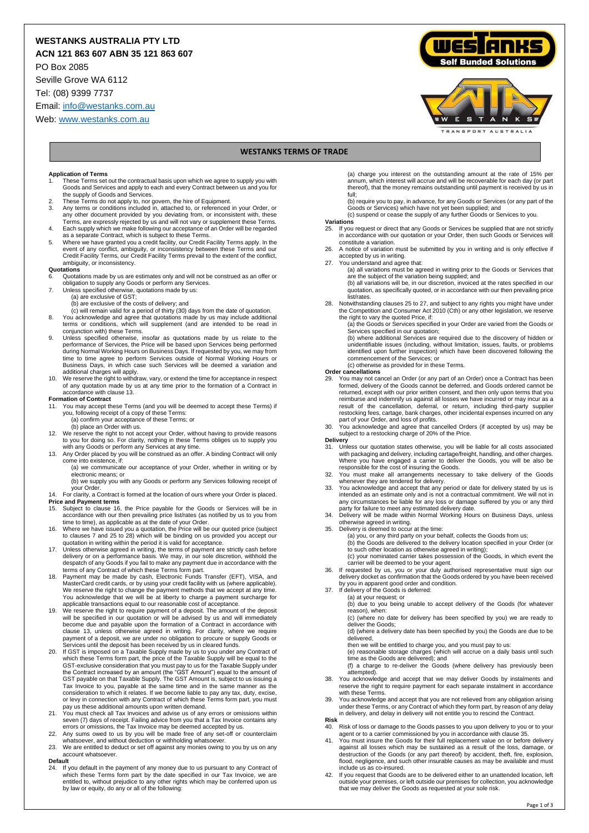# **WESTANKS AUSTRALIA PTY LTD**

**ACN 121 863 607 ABN 35 121 863 607**

PO Box 2085

Seville Grove WA 6112

Tel: (08) 9399 7737

Email[: info@westanks.com.au](mailto:info@westanks.com.au)

Web[: www.westanks.com.au](http://www.westanks.com.au/)





# **WESTANKS TERMS OF TRADE**

## **Application of Terms**

- 1. These Terms set out the contractual basis upon which we agree to supply you with Goods and Services and apply to each and every Contract between us and you for the supply of Goods and Services.
- 2. These Terms do not apply to, nor govern, the hire of Equipment. 3. Any terms or conditions included in, attached to, or referenced in your Order, or
- any other document provided by you deviating from, or inconsistent with, these Terms, are expressly rejected by us and will not vary or supplement these Terms. 4. Each supply which we make following our acceptance of an Order will be regarded
- as a separate Contract, which is subject to these Terms. 5. Where we have granted you a credit facility, our Credit Facility Terms apply. In the
- event of any conflict, ambiguity, or inconsistency between these Terms and our Credit Facility Terms, our Credit Facility Terms prevail to the extent of the conflict, ambiguity, or inconsistency. **Quotations**

- 6. Quotations made by us are estimates only and will not be construed as an offer or obligation to supply any Goods or perform any Services. 7. Unless specified otherwise, quotations made by us:
- - (a) are exclusive of GST;
	- (b) are exclusive of the costs of delivery; and
	- (c) will remain valid for a period of thirty (30) days from the date of quotation.
- 8. You acknowledge and agree that quotations made by us may include additional<br>terms or conditions, which will supplement (and are intended to be read in<br>conjunction with) these Terms.
- 9. Unless specified otherwise, insofar as quotations made by us relate to the performance of Services, the Price will be based upon Services being performed during Normal Working Hours on Business Days. If requested by you, we may from<br>time to time agree to perform Services outside of Normal Working Hours or<br>Business Days, in which case such Services will b additional charges will apply.
- 10. We reserve the right to withdraw, vary, or extend the time for acceptance in respect of any quotation made by us at any time prior to the formation of a Contract in accordance with clause 13.

- **Formation of Contract** 11. You may accept these Terms (and you will be deemed to accept these Terms) if you, following receipt of a copy of these Terms:
	- (a) confirm your acceptance of these Terms; or (b) place an Order with us.
- 12. We reserve the right to not accept your Order, without having to provide reasons to you for doing so. For clarity, nothing in these Terms obliges us to supply you with any Goods or perform any Services at any time.
- 13. Any Order placed by you will be construed as an offer. A binding Contract will only come into existence, if: (a) we communicate our acceptance of your Order, whether in writing or by
	- electronic means; or (b) we supply you with any Goods or perform any Services following receipt of
- your Orde your Order.<br>14. For clarity, a Contract is formed at the location of ours where your Order is placed.
- **Price and Payment terms** 15. Subject to clause 16, the Price payable for the Goods or Services will be in
- 
- accordance with our then prevailing price list/rates (as notified by us to you from<br>time to time), as applicable as at the date of your Order.<br>16. Where we have issued you a quotation, the Price will be our quoted price (s quotation in writing within the period it is valid for acceptance.
- Unless otherwise agreed in writing, the terms of payment are strictly cash before delivery or on a performance basis. We may, in our sole discretion, withhold the despatch of any Goods if you fail to make any payment due in accordance with the terms of any Contract of which these Terms form part.
- 18. Payment may be made by cash, Electronic Funds Transfer (EFT), VISA, and MasterCard credit cards, or by using your credit facility with us (where applicable). We reserve the right to change the payment methods that we accept at any time.<br>You acknowledge that we will be at liberty to charge a payment surcharge for<br>applicable transactions equal to our reasonable cost of acceptance
- will be specified in our quotation or will be advised by us and will immediately<br>become due and payable upon the formation of a Contract in accordance with<br>clause 13, unless otherwise agreed in writing. For clarity, where
- 20. If GST is imposed on a Taxable Supply made by us to you under any Contract of which these Terms form part, the price of the Taxable Supply will be equal to the GST-exclusive consideration that you must pay to us for th GST payable on that Taxable Supply. The GST Amount is, subject to us issuing a Tax Invoice to you, payable at the same time and in the same manner as the consideration to which it relates. If we become liable to pay any tax, duty, excise, or levy in connection with any Contract of which these Terms form part, you must pay us these additional amounts upon written demand.
- 21. You must check all Tax Invoices and advise us of any errors or omissions within
- seven (7) days of receipt. Failing advice from you that a Tax Invoice contains any<br>errors or omissions, the Tax Invoice may be deemed accepted by us.<br>22. Any sums owed to us by you will be made free of any set-off or count
- 23. We are entitled to deduct or set off against any monies owing to you by us on any account whatsoever.
- **Default**
- 24. If you default in the payment of any money due to us pursuant to any Contract of which these Terms form part by the date specified in our Tax Invoice, we are entitled to, without prejudice to any other rights which may be conferred upon us by law or equity, do any or all of the following:

(a) charge you interest on the outstanding amount at the rate of 15% per annum, which interest will accrue and will be recoverable for each day (or part thereof), that the money remains outstanding until payment is received by us in

full;<br>(b) require you to pay, in advance, for any Goods or Services (or any part of the<br>Goods or Services) which have not yet been supplied; and

(c) suspend or cease the supply of any further Goods or Services to you.

# **Variations**

- 25. If you request or direct that any Goods or Services be supplied that are not strictly in accordance with our quotation or your Order, then such Goods or Services will constitute a variation.
- 26. A notice of variation must be submitted by you in writing and is only effective if accepted by us in writing.
- 
- 27. You understand and agree that: (a) all variations must be agreed in writing prior to the Goods or Services that are the subject of the variation being supplied; and (b) all variations will be, in our discretion, invoiced at the rates specified in our
	- quotation, as specifically quoted, or in accordance with our then prevailing price list/rates.
- 28. Notwithstanding clauses 25 to 27, and subject to any rights you might have under the Competition and Consumer Act 2010 (Cth) or any other legislation, we reserve
	- the right to vary the quoted Price, if: (a) the Goods or Services specified in your Order are varied from the Goods or Services specified in our quotation;

(b) where additional Services are required due to the discovery of hidden or unidentifiable issues (including, without limitation, issues, faults, or problems identified upon further inspection) which have been discovered following the commencement of the Services; or

- (c) otherwise as provided for in these Terms. **Order cancellations**
- 29. You may not cancel an Order (or any part of an Order) once a Contract has been formed, delivery of the Goods cannot be deferred, and Goods ordered cannot be returned, except with our prior written consent, and then only upon terms that you reimburse and indemnify us against all losses we have incurred or may incur as a result of the cancellation, deferral, or return, including third-party supplier restocking fees, cartage, bank charges, other incidental expenses incurred on any part of your Order, and loss of profits.
- 30. You acknowledge and agree that cancelled Orders (if accepted by us) may be subject to a restocking charge of 20% of the Price.

**Delivery**<br>31. Uni

- <sup>121</sup>. Unless our quotation states otherwise, you will be liable for all costs associated with packaging and delivery, including cartage/freight, handling, and other charges. Where you have engaged a carrier to deliver the Goods, you will be also be responsible for the cost of insuring the Goods.
- 32. You must make all arrangements necessary to take delivery of the Goods whenever they are tendered for delivery.
- 33. You acknowledge and accept that any period or date for delivery stated by us is intended as an estimate only and is not a contractual commitment. We will not in any circumstances be liable for any loss or damage suffered by you or any third party for failure to meet any estimated delivery date.
- 34. Delivery will be made within Normal Working Hours on Business Days, unless otherwise agreed in writing.
- 35. Delivery is deemed to occur at the time:
	- (a) you, or any third party on your behalf, collects the Goods from us; (b) the Goods are delivered to the delivery location specified in your Order (or to such other location as otherwise agreed in writing);
- (c) your nominated carrier takes possession of the Goods, in which event the carrier will be deemed to be your agent. 36. If requested by us, you or your duly authorised representative must sign our
- delivery docket as confirmation that the Goods ordered by you have been received by you in apparent good order and condition.
- 37. If delivery of the Goods is deferred: (a) at your request; or
	- (b) due to you being unable to accept delivery of the Goods (for whatever reason), when:

(c) (where no date for delivery has been specified by you) we are ready to deliver the Goods;

(d) (where a delivery date has been specified by you) the Goods are due to be delivered,

then we will be entitled to charge you, and you must pay to us:

(e) reasonable storage charges (which will accrue on a daily basis until such time as the Goods are delivered); and

(f) a charge to re-deliver the Goods (where delivery has previously been attempted).

- 38. You acknowledge and accept that we may deliver Goods by instalments and reserve the right to require payment for each separate instalment in accordance with these Terms.
- 39. You acknowledge and accept that you are not relieved from any obligation arising under these Terms, or any Contract of which they form part, by reason of any delay in delivery, and delay in delivery will not entitle you to rescind the Contract.
- **Risk**

Risk of loss or damage to the Goods passes to you upon delivery to you or to your

- agent or to a carrier commissioned by you in accordance with clause 35.<br>41. You must insure the Goods for their full replacement value on or before delivery<br>against all losses which may be sustained as a result of the loss destruction of the Goods (or any part thereof) by accident, theft, fire, explosion, flood, negligence, and such other insurable causes as may be available and must include us as co-insured.
- 42. If you request that Goods are to be delivered either to an unattended location, left outside your premises, or left outside our premises for collection, you acknowledge that we may deliver the Goods as requested at your sole risk.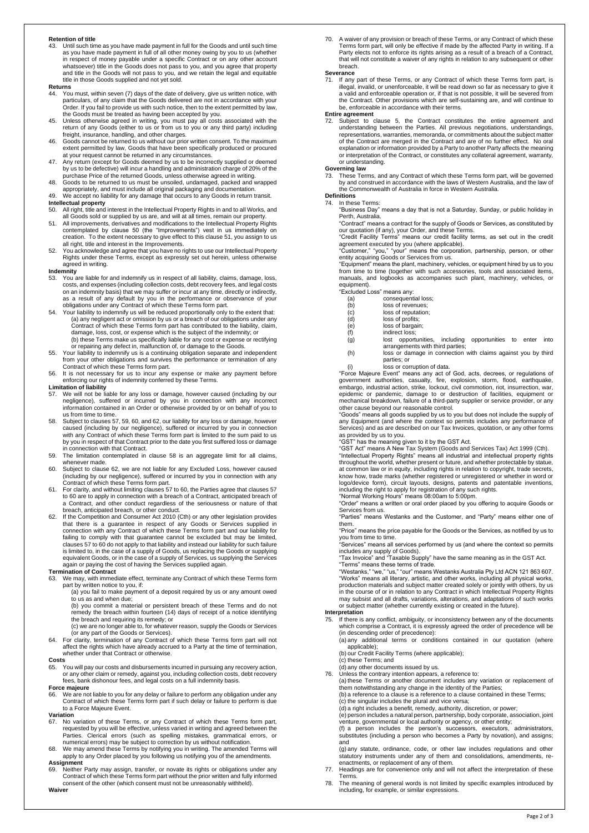### **Retention of title**

43. Until such time as you have made payment in full for the Goods and until such time as you have made payment in full of all other money owing by you to us (whether in respect of money payable under a specific Contract or on any other account whatsoever) title in the Goods does not pass to you, and you agree that property and title in the Goods will not pass to you, and we retain the legal and equitable title in those Goods supplied and not yet sold.

# **Returns**<br>44 You

- 44. You must, within seven (7) days of the date of delivery, give us written notice, with particulars, of any claim that the Goods delivered are not in accordance with your
- Order. If you fail to provide us with such notice, then to the extent permitted by law,<br>the Goods must be treated as having been accepted by you.<br>45. Unless otherwise agreed in writing, you must pay all costs associated wi freight, insurance, handling, and other charges.
- Goods cannot be returned to us without our prior written consent. To the maximum extent permitted by law, Goods that have been specifically produced or procured at your request cannot be returned in any circumstances.
- 47. Any return (except for Goods deemed by us to be incorrectly supplied or deemed by us to be defective) will incur a handling and administration charge of 20% of the
- purchase Price of the returned Goods, unless otherwise agreed in writing.<br>48. Goods to be returned to us must be unsoiled, undamaged, packed and wrapped<br>appropriately, and must include all original packaging and document
- 49. We accept no liability for any damage that occurs to any Goods in return transit.
- **Intellectual property**
- 50. All right, title and interest in the Intellectual Property Rights in and to all Works, and<br>all Goods sold or supplied by us are, and will at all times, remain our property.<br>51. All improvements, derivatives and modific
- creation. To the extent necessary to give effect to this clause 51, you assign to us all right, title and interest in the Improvements.
- 52. You acknowledge and agree that you have no rights to use our Intellectual Property Rights under these Terms, except as expressly set out herein, unless otherwise agreed in writing.

# **Indemnity**<br>53. You a

- .......,<br>You are liable for and indemnify us in respect of all liability, claims, damage, loss, costs, and expenses (including collection costs, debt recovery fees, and legal costs on an indemnity basis) that we may suffer or incur at any time, directly or indirectly, as a result of any default by you in the performance or observance of your obligations under any Contract of which these Terms form part.
- 54. Your liability to indemnify us will be reduced proportionally only to the extent that:<br>(a) any negligent act or omission by us or a breach of our obligations under any<br>Contract of which these Terms form part has contri damage, loss, cost, or expense which is the subject of the indemnity; or<br>
(b) these Terms make us specifically liable for any cost or expense or rectifying<br>
or repairing any defect in, malfunction of, or damage to the Good
- from your other obligations and survives the performance or termination of any Contract of which these Terms form part.
- 56. It is not necessary for us to incur any expense or make any payment before enforcing our rights of indemnity conferred by these Terms.

### **Limitation of liability**

- 57. We will not be liable for any loss or damage, however caused (including by our negligence), suffered or incurred by you in connection with any incorrect information contained in an Order or otherwise provided by or on behalf of you to us from time to time.
- 58. Subject to clauses 57, 59, 60, and 62, our liability for any loss or damage, however<br>caused (including by our negligence), suffered or incurred by you in connection<br>with any Contract of which these Terms form part is l by you in respect of that Contract prior to the date you first suffered loss or damage in connection with that Contract.
- 59. The limitation contemplated in clause 58 is an aggregate limit for all claims, whenever made.
- 60. Subject to clause 62, we are not liable for any Excluded Loss, however caused
- (including by our negligence), suffered or incurred by you in connection with any<br>Contract of which these Terms form part.<br>61. For clarity, and without limiting clauses 57 to 60, the Parties agree that clauses 57<br>to 60 ar breach, anticipated breach, or other conduct. 62. If the Competition and Consumer Act 2010 (Cth) or any other legislation provides
- that there is a guarantee in respect of any Goods or Services supplied in connection with any Contract of which these Terms form part and our liability for failing to comply with that guarantee cannot be excluded but may be limited, clauses 57 to 60 do not apply to that liability and instead our liability for such failure is limited to, in the case of a supply of Goods, us replacing the Goods or supplying<br>equivalent Goods, or in the case of a supply of Services, us supplying the Services<br>again or paying the cost of having the Services suppl

## **Termination of Contract**

- 63. We may, with immediate effect, terminate any Contract of which these Terms form part by written notice to you, if:
	- (a) you fail to make payment of a deposit required by us or any amount owed to us as and when due;

(b) you commit a material or persistent breach of these Terms and do not remedy the breach within fourteen (14) days of receipt of a notice identifying the breach and requiring its remedy; or

- (c) we are no longer able to, for whatever reason, supply the Goods or Services (or any part of the Goods or Services).
- 64. For clarity, termination of any Contract of which these Terms form part will not affect the rights which have already accrued to a Party at the time of termination, whether under that Contract or otherwise.

**Costs** 65. You will pay our costs and disbursements incurred in pursuing any recovery action, or any other claim or remedy, against you, including collection costs, debt recovery fees, bank dishonour fees, and legal costs on a full indemnity basis. (debt recovery fees, bank dishonour fees, and legal costs on a full indemnity basis.

**Force majeure**<br>66. We are not We are not liable to you for any delay or failure to perform any obligation under any Contract of which these Terms form part if such delay or failure to perform is due to a Force Majeure Event.

#### **Variation**

- No variation of these Terms, or any Contract of which these Terms form part, requested by you will be effective, unless varied in writing and agreed between the Parties. Clerical errors (such as spelling mistakes, grammatical errors, or
- numerical errors) may be subject to correction by us without notification.<br>68. We may amend these Terms by notifying you in writing. The amended Terms will<br>apply to any Order placed by you following us notifying you of
- **Assignment**<br>69. Neither Party may assign, transfer, or novate its rights or obligations under any<br>Contract of which these Terms form part without the prior written and fully informed consent of the other (which consent must not be unreasonably withheld).

#### **Waiver**

70. A waiver of any provision or breach of these Terms, or any Contract of which these Terms form part, will only be effective if made by the affected Party in writing. If a Party elects not to enforce its rights arising as a result of a breach of a Contract, that will not constitute a waiver of any rights in relation to any subsequent or other breach.

#### **Severance**

71. If any part of these Terms, or any Contract of which these Terms form part, is illegal, invalid, or unenforceable, it will be read down so far as necessary to give it a valid and enforceable operation or, if that is not possible, it will be severed from the Contract. Other provisions which are self-sustaining are, and will continue to be, enforceable in accordance with their terms.

### **Entire agreement**

72. Subject to clause 5, the Contract constitutes the entire agreement and<br>understanding between the Parties. All previous negotiations, understandings,<br>representations, warranties, memoranda, or commitments about the subj of the Contract are merged in the Contract and are of no further effect. No oral explanation or information provided by a Party to another Party affects the meaning or interpretation of the Contract, or constitutes any collateral agreement, warranty, or understanding.

## **Governing law**

73. These Terms, and any Contract of which these Terms form part, will be governed by and construed in accordance with the laws of Western Australia, and the law of the Commonwealth of Australia in force in Western Australia.

### **Definitions** mas.is<br>In these Terms:

"Business Day" means a day that is not a Saturday, Sunday, or public holiday in Perth, Australia.

"Contract" means a contract for the supply of Goods or Services, as constituted by our quotation (if any), your Order, and these Terms. "Credit Facility Terms" means our credit facility terms, as set out in the credit

agreement executed by you (where applicable).

"Customer," "you," "your" means the corporation, partnership, person, or other<br>entity acquiring Goods or Services from us.<br>"Equipment" means the plant, machinery, vehicles, or equipment hired by us to you<br>from time to time equipment). "Excluded Loss" means any: (a) consequential loss; (b) loss of revenues;

- -
- 
- (c) loss of reputation;<br>(d) loss of profits; loss of profits;
	-
- (e) loss of bargain;<br>(f) indirect loss; indirect loss:
- (g) lost opportunities, including opportunities to enter into arrangements with third parties; (h) loss or damage in connection with claims against you by third
- parties; or (i) loss or corruption of data.
- 

"Force Majeure Event" means any act of God, acts, decrees, or regulations of<br>government authorities, casualty, fire, explosion, storm, flood, earthquake,<br>embargo, industrial action, strike, lockout, civil commotion, riot, epidemic or pandemic, damage to or destruction of facilities, equipment or mechanical breakdown, failure of a third-party supplier or service provider, or any other cause beyond our reasonable control.

"Goods" means all goods supplied by us to you but does not include the supply of<br>any Equipment (and where the context so permits includes any performance of<br>Services) and as are described on our Tax Invoices, quotation, or as provided by us to you.

"GST" has the meaning given to it by the GST Act.<br>"GST Act" means A New Tax System (Goods and Services Tax) Act 1999 (Cth).<br>"Intellectual Property Rights" means all industrial and intellectual property rights throughout the world, whether present or future, and whether protectable by statue, at common law or in equity, including rights in relation to copyright, trade secrets, know how, trade marks (whether registered or unregistered or whether in word or logo/device form), circuit layouts, designs, patents and patentable inventions, including the right to apply for registration of any such rights. "Normal Working Hours" means 08:00am to 5:00pm. "Order" means a written or oral order placed by you offering to acquire Goods or

Services from us. "Parties" means Westanks and the Customer, and "Party" means either one of

them. "Price" means the price payable for the Goods or the Services, as notified by us to

you from time to time. "Services" means all services performed by us (and where the context so permits

includes any supply of Goods). "Tax Invoice" and "Taxable Supply" have the same meaning as in the GST Act. "Terms" means these terms of trade.

"Westanks," "we," "us," "our" means Westanks Australia Pty Ltd ACN 121 863 607.<br>"Works" means all literary, artistic, and other works, including all physical works,<br>production materials and subject matter created solely or may subsist and all drafts, variations, alterations, and adaptations of such works or subject matter (whether currently existing or created in the future).

**Interpretation**  75. If there is any conflict, ambiguity, or inconsistency between any of the documents which comprise a Contract, it is expressly agreed the order of precedence will be (in descending order of precedence):

(a) any additional terms or conditions contained in our quotation (where applicable);

- (b) our Credit Facility Terms (where applicable);
- (c) these Terms; and
- (d) any other documents issued by us.

76. Unless the contrary intention appears, a reference to:

(a) these Terms or another document includes any variation or replacement of them notwithstanding any change in the identity of the Parties; (b) a reference to a clause is a reference to a clause contained in these Terms;

- 
- (c) the singular includes the plural and vice versa; (d) a right includes a benefit, remedy, authority, discretion, or power;

(e) person includes a natural person, partnership, body corporate, association, joint venture, governmental or local authority or agency, or other entity;

(f) a person includes the person's successors, executors, administrators, substitutes (including a person who becomes a Party by novation), and assigns; and

(g) any statute, ordinance, code, or other law includes regulations and other<br>statutory instruments under any of them and consolidations, amendments, re-<br>enactments, or replacement of any of them.<br>T7. Headings are for conv

- Terms.
- 78. The meaning of general words is not limited by specific examples introduced by including, for example, or similar expressions.